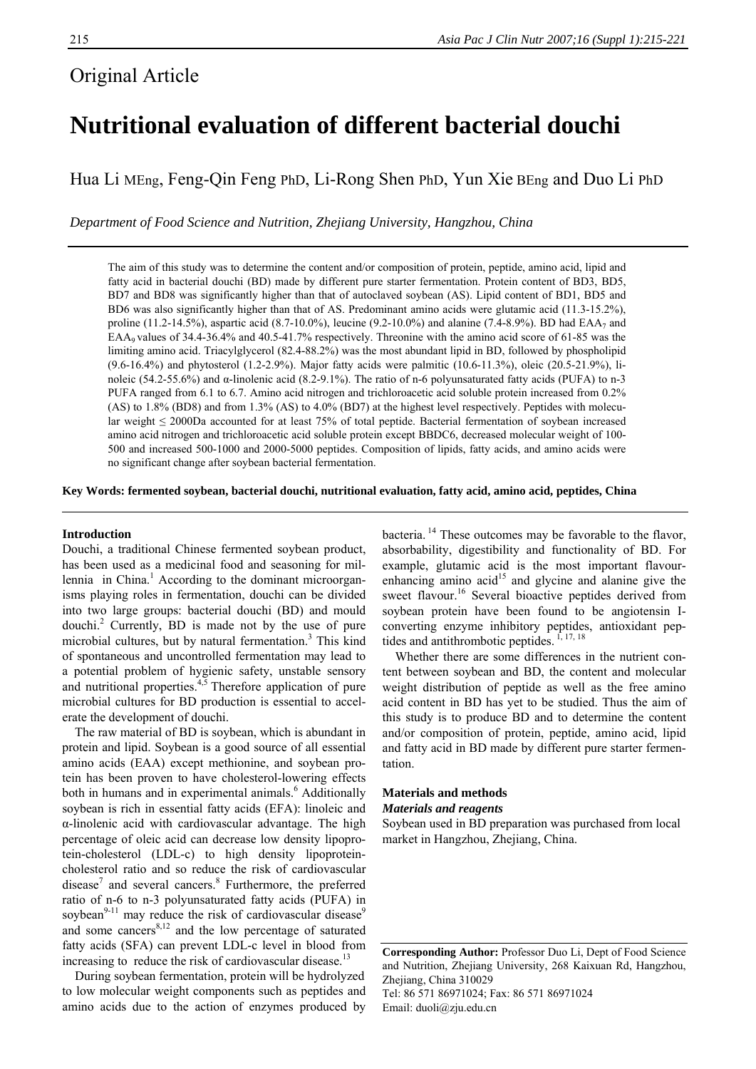## Original Article

# **Nutritional evaluation of different bacterial douchi**

Hua Li MEng, Feng-Qin Feng PhD, Li-Rong Shen PhD, Yun Xie BEng and Duo Li PhD

*Department of Food Science and Nutrition, Zhejiang University, Hangzhou, China* 

The aim of this study was to determine the content and/or composition of protein, peptide, amino acid, lipid and fatty acid in bacterial douchi (BD) made by different pure starter fermentation. Protein content of BD3, BD5, BD7 and BD8 was significantly higher than that of autoclaved soybean (AS). Lipid content of BD1, BD5 and BD6 was also significantly higher than that of AS. Predominant amino acids were glutamic acid (11.3-15.2%), proline (11.2-14.5%), aspartic acid (8.7-10.0%), leucine (9.2-10.0%) and alanine (7.4-8.9%). BD had EAA<sub>7</sub> and EAA<sub>9</sub> values of 34.4-36.4% and 40.5-41.7% respectively. Threonine with the amino acid score of 61-85 was the limiting amino acid. Triacylglycerol (82.4-88.2%) was the most abundant lipid in BD, followed by phospholipid (9.6-16.4%) and phytosterol (1.2-2.9%). Major fatty acids were palmitic (10.6-11.3%), oleic (20.5-21.9%), linoleic (54.2-55.6%) and α-linolenic acid (8.2-9.1%). The ratio of n-6 polyunsaturated fatty acids (PUFA) to n-3 PUFA ranged from 6.1 to 6.7. Amino acid nitrogen and trichloroacetic acid soluble protein increased from 0.2% (AS) to 1.8% (BD8) and from 1.3% (AS) to 4.0% (BD7) at the highest level respectively. Peptides with molecular weight ≤ 2000Da accounted for at least 75% of total peptide. Bacterial fermentation of soybean increased amino acid nitrogen and trichloroacetic acid soluble protein except BBDC6, decreased molecular weight of 100- 500 and increased 500-1000 and 2000-5000 peptides. Composition of lipids, fatty acids, and amino acids were no significant change after soybean bacterial fermentation.

**Key Words: fermented soybean, bacterial douchi, nutritional evaluation, fatty acid, amino acid, peptides, China** 

### **Introduction**

Douchi, a traditional Chinese fermented soybean product, has been used as a medicinal food and seasoning for millennia in China.<sup>1</sup> According to the dominant microorganisms playing roles in fermentation, douchi can be divided into two large groups: bacterial douchi (BD) and mould douchi.<sup>2</sup> Currently, BD is made not by the use of pure microbial cultures, but by natural fermentation.<sup>3</sup> This kind of spontaneous and uncontrolled fermentation may lead to a potential problem of hygienic safety, unstable sensory and nutritional properties.<sup>4,5</sup> Therefore application of pure microbial cultures for BD production is essential to accelerate the development of douchi.

The raw material of BD is soybean, which is abundant in protein and lipid. Soybean is a good source of all essential amino acids (EAA) except methionine, and soybean protein has been proven to have cholesterol-lowering effects both in humans and in experimental animals.<sup>6</sup> Additionally soybean is rich in essential fatty acids (EFA): linoleic and α-linolenic acid with cardiovascular advantage. The high percentage of oleic acid can decrease low density lipoprotein-cholesterol (LDL-c) to high density lipoproteincholesterol ratio and so reduce the risk of cardiovascular disease<sup>7</sup> and several cancers.<sup>8</sup> Furthermore, the preferred ratio of n-6 to n-3 polyunsaturated fatty acids (PUFA) in soybean $9-11$  may reduce the risk of cardiovascular disease<sup>9</sup> and some cancers $8,12$  and the low percentage of saturated fatty acids (SFA) can prevent LDL-c level in blood from increasing to reduce the risk of cardiovascular disease.<sup>13</sup>

During soybean fermentation, protein will be hydrolyzed to low molecular weight components such as peptides and amino acids due to the action of enzymes produced by bacteria. 14 These outcomes may be favorable to the flavor, absorbability, digestibility and functionality of BD. For example, glutamic acid is the most important flavourenhancing amino acid<sup>15</sup> and glycine and alanine give the sweet flavour.<sup>16</sup> Several bioactive peptides derived from soybean protein have been found to be angiotensin Iconverting enzyme inhibitory peptides, antioxidant peptides and antithrombotic peptides.  $1, 17, 18$ 

Whether there are some differences in the nutrient content between soybean and BD, the content and molecular weight distribution of peptide as well as the free amino acid content in BD has yet to be studied. Thus the aim of this study is to produce BD and to determine the content and/or composition of protein, peptide, amino acid, lipid and fatty acid in BD made by different pure starter fermentation.

### **Materials and methods**  *Materials and reagents*

Soybean used in BD preparation was purchased from local market in Hangzhou, Zhejiang, China.

**Corresponding Author:** Professor Duo Li, Dept of Food Science and Nutrition, Zhejiang University, 268 Kaixuan Rd, Hangzhou, Zhejiang, China 310029 Tel: 86 571 86971024; Fax: 86 571 86971024 Email: duoli@zju.edu.cn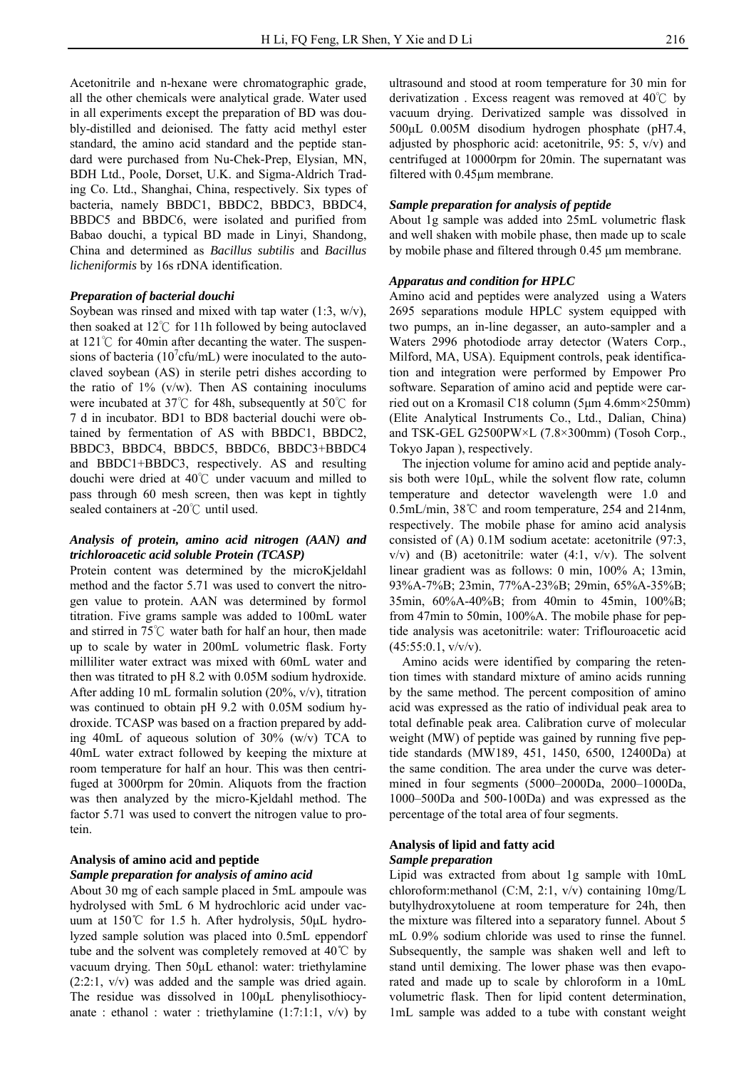Acetonitrile and n-hexane were chromatographic grade, all the other chemicals were analytical grade. Water used in all experiments except the preparation of BD was doubly-distilled and deionised. The fatty acid methyl ester standard, the amino acid standard and the peptide standard were purchased from Nu-Chek-Prep, Elysian, MN, BDH Ltd., Poole, Dorset, U.K. and Sigma-Aldrich Trading Co. Ltd., Shanghai, China, respectively. Six types of bacteria, namely BBDC1, BBDC2, BBDC3, BBDC4, BBDC5 and BBDC6, were isolated and purified from Babao douchi, a typical BD made in Linyi, Shandong, China and determined as *Bacillus subtilis* and *Bacillus licheniformis* by 16s rDNA identification.

## *Preparation of bacterial douchi*

Soybean was rinsed and mixed with tap water  $(1:3, w/v)$ , then soaked at 12℃ for 11h followed by being autoclaved at 121℃ for 40min after decanting the water. The suspensions of bacteria ( $10<sup>7</sup>$ cfu/mL) were inoculated to the autoclaved soybean (AS) in sterile petri dishes according to the ratio of  $1\%$  (v/w). Then AS containing inoculums were incubated at 37℃ for 48h, subsequently at 50℃ for 7 d in incubator. BD1 to BD8 bacterial douchi were obtained by fermentation of AS with BBDC1, BBDC2, BBDC3, BBDC4, BBDC5, BBDC6, BBDC3+BBDC4 and BBDC1+BBDC3, respectively. AS and resulting douchi were dried at 40℃ under vacuum and milled to pass through 60 mesh screen, then was kept in tightly sealed containers at -20℃ until used.

## *Analysis of protein, amino acid nitrogen (AAN) and trichloroacetic acid soluble Protein (TCASP)*

Protein content was determined by the microKjeldahl method and the factor 5.71 was used to convert the nitrogen value to protein. AAN was determined by formol titration. Five grams sample was added to 100mL water and stirred in 75℃ water bath for half an hour, then made up to scale by water in 200mL volumetric flask. Forty milliliter water extract was mixed with 60mL water and then was titrated to pH 8.2 with 0.05M sodium hydroxide. After adding 10 mL formalin solution (20%, v/v), titration was continued to obtain pH 9.2 with 0.05M sodium hydroxide. TCASP was based on a fraction prepared by adding 40mL of aqueous solution of 30% (w/v) TCA to 40mL water extract followed by keeping the mixture at room temperature for half an hour. This was then centrifuged at 3000rpm for 20min. Aliquots from the fraction was then analyzed by the micro-Kjeldahl method. The factor 5.71 was used to convert the nitrogen value to protein.

## **Analysis of amino acid and peptide**

#### *Sample preparation for analysis of amino acid*

About 30 mg of each sample placed in 5mL ampoule was hydrolysed with 5mL 6 M hydrochloric acid under vacuum at 150℃ for 1.5 h. After hydrolysis, 50μL hydrolyzed sample solution was placed into 0.5mL eppendorf tube and the solvent was completely removed at 40℃ by vacuum drying. Then 50μL ethanol: water: triethylamine (2:2:1, v/v) was added and the sample was dried again. The residue was dissolved in 100μL phenylisothiocyanate : ethanol : water : triethylamine  $(1:7:1:1, v/v)$  by

ultrasound and stood at room temperature for 30 min for derivatization . Excess reagent was removed at 40℃ by vacuum drying. Derivatized sample was dissolved in 500μL 0.005M disodium hydrogen phosphate (pH7.4, adjusted by phosphoric acid: acetonitrile, 95: 5, v/v) and centrifuged at 10000rpm for 20min. The supernatant was filtered with 0.45μm membrane.

## *Sample preparation for analysis of peptide*

About 1g sample was added into 25mL volumetric flask and well shaken with mobile phase, then made up to scale by mobile phase and filtered through 0.45 μm membrane.

#### *Apparatus and condition for HPLC*

Amino acid and peptides were analyzed using a Waters 2695 separations module HPLC system equipped with two pumps, an in-line degasser, an auto-sampler and a Waters 2996 photodiode array detector (Waters Corp., Milford, MA, USA). Equipment controls, peak identification and integration were performed by Empower Pro software. Separation of amino acid and peptide were carried out on a Kromasil C18 column (5μm 4.6mm×250mm) (Elite Analytical Instruments Co., Ltd., Dalian, China) and TSK-GEL G2500PW×L (7.8×300mm) (Tosoh Corp., Tokyo Japan ), respectively.

The injection volume for amino acid and peptide analysis both were 10μL, while the solvent flow rate, column temperature and detector wavelength were 1.0 and 0.5mL/min, 38℃ and room temperature, 254 and 214nm, respectively. The mobile phase for amino acid analysis consisted of (A) 0.1M sodium acetate: acetonitrile (97:3,  $v/v$ ) and (B) acetonitrile: water (4:1,  $v/v$ ). The solvent linear gradient was as follows: 0 min, 100% A; 13min, 93%A-7%B; 23min, 77%A-23%B; 29min, 65%A-35%B; 35min, 60%A-40%B; from 40min to 45min, 100%B; from 47min to 50min, 100%A. The mobile phase for peptide analysis was acetonitrile: water: Triflouroacetic acid  $(45:55:0.1, v/v/v)$ .

Amino acids were identified by comparing the retention times with standard mixture of amino acids running by the same method. The percent composition of amino acid was expressed as the ratio of individual peak area to total definable peak area. Calibration curve of molecular weight (MW) of peptide was gained by running five peptide standards (MW189, 451, 1450, 6500, 12400Da) at the same condition. The area under the curve was determined in four segments (5000–2000Da, 2000–1000Da, 1000–500Da and 500-100Da) and was expressed as the percentage of the total area of four segments.

## **Analysis of lipid and fatty acid**  *Sample preparation*

Lipid was extracted from about 1g sample with 10mL chloroform:methanol (C:M, 2:1, v/v) containing 10mg/L butylhydroxytoluene at room temperature for 24h, then the mixture was filtered into a separatory funnel. About 5 mL 0.9% sodium chloride was used to rinse the funnel. Subsequently, the sample was shaken well and left to stand until demixing. The lower phase was then evaporated and made up to scale by chloroform in a 10mL volumetric flask. Then for lipid content determination, 1mL sample was added to a tube with constant weight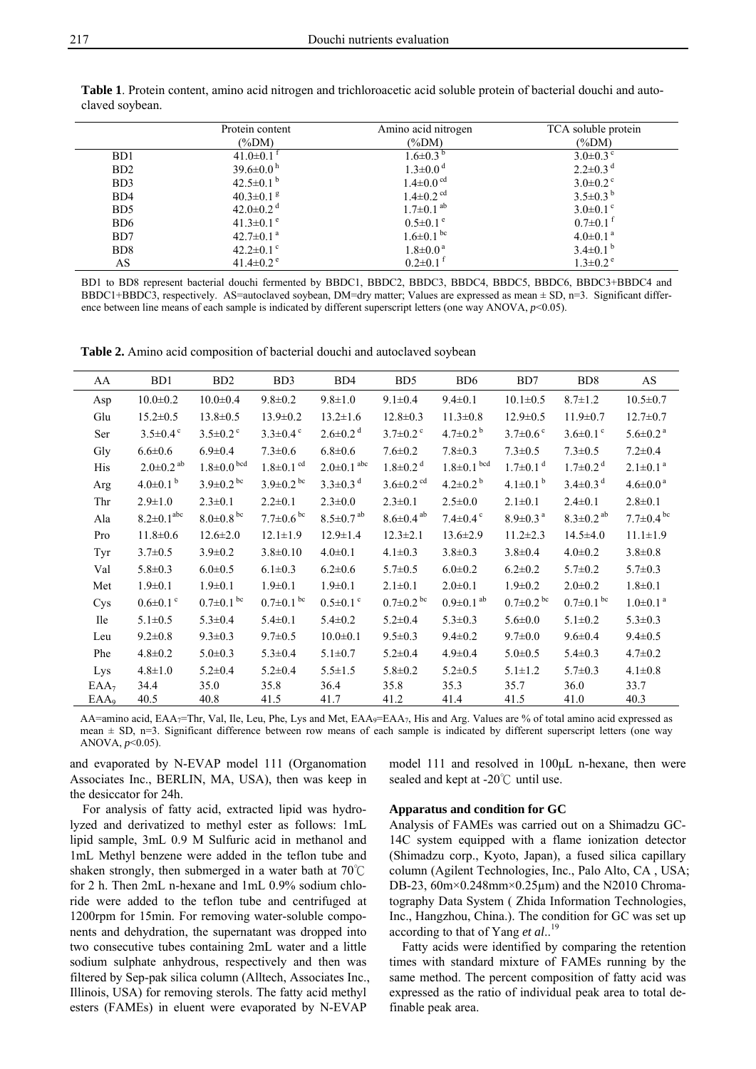|                  | Protein content             | Amino acid nitrogen         | TCA soluble protein        |
|------------------|-----------------------------|-----------------------------|----------------------------|
|                  | $(\%DM)$                    | (%DM)                       | (%DM)                      |
| B <sub>D</sub> 1 | $41.0 \pm 0.1$ <sup>t</sup> | $1.6 \pm 0.3^{b}$           | $3.0\pm0.3$ °              |
| BD <sub>2</sub>  | $39.6 \pm 0.0^{\text{h}}$   | $1.3 \pm 0.0$ <sup>d</sup>  | $2.2 \pm 0.3$ <sup>d</sup> |
| B <sub>D</sub> 3 | 42.5 $\pm$ 0.1 <sup>b</sup> | $1.4 \pm 0.0$ <sup>cd</sup> | $3.0\pm0.2$ °              |
| B <sub>D</sub> 4 | $40.3 \pm 0.1$ <sup>g</sup> | $1.4 \pm 0.2$ <sup>cd</sup> | $3.5 \pm 0.3^{\mathrm{b}}$ |
| B <sub>D5</sub>  | 42.0 $\pm$ 0.2 <sup>d</sup> | $1.7 \pm 0.1$ <sup>ab</sup> | $3.0\pm0.1$ <sup>c</sup>   |
| BD <sub>6</sub>  | $41.3 \pm 0.1$ <sup>e</sup> | $0.5 \pm 0.1$ <sup>e</sup>  | $0.7 \pm 0.1$ <sup>t</sup> |
| BD7              | $42.7 \pm 0.1$ <sup>a</sup> | $1.6 \pm 0.1$ bc            | $4.0 \pm 0.1$ <sup>a</sup> |
| BD <sub>8</sub>  | 42.2 $\pm$ 0.1 $\degree$    | $1.8 \pm 0.0^{\text{a}}$    | $3.4\pm0.1^{b}$            |
| AS               | 41.4 $\pm$ 0.2 <sup>e</sup> | $0.2 \pm 0.1$ <sup>t</sup>  | $1.3 \pm 0.2$ <sup>e</sup> |

**Table 1**. Protein content, amino acid nitrogen and trichloroacetic acid soluble protein of bacterial douchi and autoclaved soybean.

BD1 to BD8 represent bacterial douchi fermented by BBDC1, BBDC2, BBDC3, BBDC4, BBDC5, BBDC6, BBDC3+BBDC4 and BBDC1+BBDC3, respectively. AS=autoclaved soybean, DM=dry matter; Values are expressed as mean  $\pm$  SD, n=3. Significant difference between line means of each sample is indicated by different superscript letters (one way ANOVA,  $p$ <0.05).

**Table 2.** Amino acid composition of bacterial douchi and autoclaved soybean

| AA               | B <sub>D</sub> 1             | BD <sub>2</sub>             | BD <sub>3</sub>             | BD4                          | B <sub>D5</sub>             | B <sub>D6</sub>             | BD7                         | BD <sub>8</sub>             | $\mathbf{A}\mathbf{S}$      |
|------------------|------------------------------|-----------------------------|-----------------------------|------------------------------|-----------------------------|-----------------------------|-----------------------------|-----------------------------|-----------------------------|
| Asp              | $10.0 \pm 0.2$               | $10.0 \pm 0.4$              | $9.8 \pm 0.2$               | $9.8 \pm 1.0$                | $9.1 \pm 0.4$               | $9.4 \pm 0.1$               | $10.1 \pm 0.5$              | $8.7 \pm 1.2$               | $10.5 \pm 0.7$              |
| Glu              | $15.2 \pm 0.5$               | $13.8 \pm 0.5$              | $13.9 \pm 0.2$              | $13.2 \pm 1.6$               | $12.8 \pm 0.3$              | $11.3 \pm 0.8$              | $12.9 \pm 0.5$              | $11.9 \pm 0.7$              | $12.7 \pm 0.7$              |
| Ser              | $3.5 \pm 0.4$ °              | $3.5 \pm 0.2$ °             | $3.3 \pm 0.4$ °             | $2.6 \pm 0.2$ <sup>d</sup>   | $3.7 \pm 0.2$ °             | $4.7 \pm 0.2^{\mathrm{b}}$  | $3.7 \pm 0.6$ °             | $3.6 \pm 0.1$ °             | $5.6 \pm 0.2$ <sup>a</sup>  |
| Gly              | $6.6 \pm 0.6$                | $6.9 \pm 0.4$               | $7.3 \pm 0.6$               | $6.8 + 0.6$                  | $7.6 \pm 0.2$               | $7.8 \pm 0.3$               | $7.3 \pm 0.5$               | $7.3 \pm 0.5$               | $7.2 \pm 0.4$               |
| His              | $2.0 \pm 0.2$ <sup>ab</sup>  | $1.8 \pm 0.0$ bcd           | $1.8 \pm 0.1$ <sup>cd</sup> | $2.0 \pm 0.1$ <sup>abc</sup> | $1.8 \pm 0.2$ <sup>d</sup>  | $1.8 \pm 0.1$ bcd           | $1.7 \pm 0.1$ <sup>d</sup>  | $1.7 \pm 0.2$ <sup>d</sup>  | $2.1 \pm 0.1$ <sup>a</sup>  |
| Arg              | $4.0\pm0.1^{b}$              | $3.9 \pm 0.2$ <sup>bc</sup> | $3.9 \pm 0.2$ <sup>bc</sup> | $3.3 \pm 0.3$ <sup>d</sup>   | $3.6 \pm 0.2$ <sup>cd</sup> | $4.2 \pm 0.2^{\mathrm{b}}$  | $4.1 \pm 0.1^{b}$           | $3.4 \pm 0.3$ <sup>d</sup>  | $4.6 \pm 0.0^{\text{a}}$    |
| Thr              | $2.9 \pm 1.0$                | $2.3 \pm 0.1$               | $2.2 \pm 0.1$               | $2.3 \pm 0.0$                | $2.3 \pm 0.1$               | $2.5 \pm 0.0$               | $2.1 \pm 0.1$               | $2.4 \pm 0.1$               | $2.8 \pm 0.1$               |
| Ala              | $8.2 \pm 0.1$ <sup>abc</sup> | $8.0 \pm 0.8$ <sup>bc</sup> | $7.7 \pm 0.6$ <sup>bc</sup> | $8.5 \pm 0.7$ <sup>ab</sup>  | $8.6 \pm 0.4$ <sup>ab</sup> | $7.4 \pm 0.4$ °             | $8.9 \pm 0.3$ <sup>a</sup>  | $8.3 \pm 0.2$ <sup>ab</sup> | $7.7 \pm 0.4$ <sup>bc</sup> |
| Pro              | $11.8 \pm 0.6$               | $12.6 \pm 2.0$              | $12.1 \pm 1.9$              | $12.9 \pm 1.4$               | $12.3 \pm 2.1$              | $13.6 \pm 2.9$              | $11.2 \pm 2.3$              | $14.5 \pm 4.0$              | $11.1 \pm 1.9$              |
| Tyr              | $3.7 \pm 0.5$                | $3.9 \pm 0.2$               | $3.8 \pm 0.10$              | $4.0 \pm 0.1$                | $4.1 \pm 0.3$               | $3.8 \pm 0.3$               | $3.8 \pm 0.4$               | $4.0 \pm 0.2$               | $3.8 \pm 0.8$               |
| Val              | $5.8 \pm 0.3$                | $6.0 \pm 0.5$               | $6.1 \pm 0.3$               | $6.2 \pm 0.6$                | $5.7 \pm 0.5$               | $6.0 \pm 0.2$               | $6.2 \pm 0.2$               | $5.7 \pm 0.2$               | $5.7 \pm 0.3$               |
| Met              | $1.9 \pm 0.1$                | $1.9 \pm 0.1$               | $1.9 \pm 0.1$               | $1.9 \pm 0.1$                | $2.1 \pm 0.1$               | $2.0 \pm 0.1$               | $1.9 \pm 0.2$               | $2.0 \pm 0.2$               | $1.8 + 0.1$                 |
| Cys              | $0.6 \pm 0.1$ <sup>c</sup>   | $0.7 \pm 0.1$ bc            | $0.7 \pm 0.1$ <sup>bc</sup> | $0.5 \pm 0.1$ °              | $0.7 \pm 0.2$ <sup>bc</sup> | $0.9 \pm 0.1$ <sup>ab</sup> | $0.7 \pm 0.2$ <sup>bc</sup> | $0.7 \pm 0.1$ bc            | $1.0 \pm 0.1$ <sup>a</sup>  |
| <b>Ile</b>       | $5.1 \pm 0.5$                | $5.3 \pm 0.4$               | $5.4 \pm 0.1$               | $5.4 \pm 0.2$                | $5.2 \pm 0.4$               | $5.3 \pm 0.3$               | $5.6 \pm 0.0$               | $5.1 \pm 0.2$               | $5.3 \pm 0.3$               |
| Leu              | $9.2 \pm 0.8$                | $9.3 \pm 0.3$               | $9.7 \pm 0.5$               | $10.0 \pm 0.1$               | $9.5 \pm 0.3$               | $9.4 \pm 0.2$               | $9.7 \pm 0.0$               | $9.6 \pm 0.4$               | $9.4 \pm 0.5$               |
| Phe              | $4.8 \pm 0.2$                | $5.0 \pm 0.3$               | $5.3 \pm 0.4$               | $5.1 \pm 0.7$                | $5.2 \pm 0.4$               | $4.9 \pm 0.4$               | $5.0 \pm 0.5$               | $5.4 \pm 0.3$               | $4.7 \pm 0.2$               |
| Lys              | $4.8 \pm 1.0$                | $5.2 \pm 0.4$               | $5.2 \pm 0.4$               | $5.5 \pm 1.5$                | $5.8 \pm 0.2$               | $5.2 \pm 0.5$               | $5.1 \pm 1.2$               | $5.7 \pm 0.3$               | $4.1 \pm 0.8$               |
| EAA <sub>7</sub> | 34.4                         | 35.0                        | 35.8                        | 36.4                         | 35.8                        | 35.3                        | 35.7                        | 36.0                        | 33.7                        |
| EAA <sub>9</sub> | 40.5                         | 40.8                        | 41.5                        | 41.7                         | 41.2                        | 41.4                        | 41.5                        | 41.0                        | 40.3                        |

AA=amino acid, EAA<sub>7</sub>=Thr, Val, Ile, Leu, Phe, Lys and Met, EAA<sub>9</sub>=EAA<sub>7</sub>, His and Arg. Values are % of total amino acid expressed as mean  $\pm$  SD, n=3. Significant difference between row means of each sample is indicated by different superscript letters (one way ANOVA, *p*<0.05).

and evaporated by N-EVAP model 111 (Organomation Associates Inc., BERLIN, MA, USA), then was keep in the desiccator for 24h.

For analysis of fatty acid, extracted lipid was hydrolyzed and derivatized to methyl ester as follows: 1mL lipid sample, 3mL 0.9 M Sulfuric acid in methanol and 1mL Methyl benzene were added in the teflon tube and shaken strongly, then submerged in a water bath at 70℃ for 2 h. Then 2mL n-hexane and 1mL 0.9% sodium chloride were added to the teflon tube and centrifuged at 1200rpm for 15min. For removing water-soluble components and dehydration, the supernatant was dropped into two consecutive tubes containing 2mL water and a little sodium sulphate anhydrous, respectively and then was filtered by Sep-pak silica column (Alltech, Associates Inc., Illinois, USA) for removing sterols. The fatty acid methyl esters (FAMEs) in eluent were evaporated by N-EVAP

model 111 and resolved in 100μL n-hexane, then were sealed and kept at -20℃ until use.

## **Apparatus and condition for GC**

Analysis of FAMEs was carried out on a Shimadzu GC-14C system equipped with a flame ionization detector (Shimadzu corp., Kyoto, Japan), a fused silica capillary column (Agilent Technologies, Inc., Palo Alto, CA , USA; DB-23,  $60m \times 0.248mm \times 0.25 \mu m$  and the N2010 Chromatography Data System ( Zhida Information Technologies, Inc., Hangzhou, China.). The condition for GC was set up according to that of Yang *et al*..<sup>19</sup>

Fatty acids were identified by comparing the retention times with standard mixture of FAMEs running by the same method. The percent composition of fatty acid was expressed as the ratio of individual peak area to total definable peak area.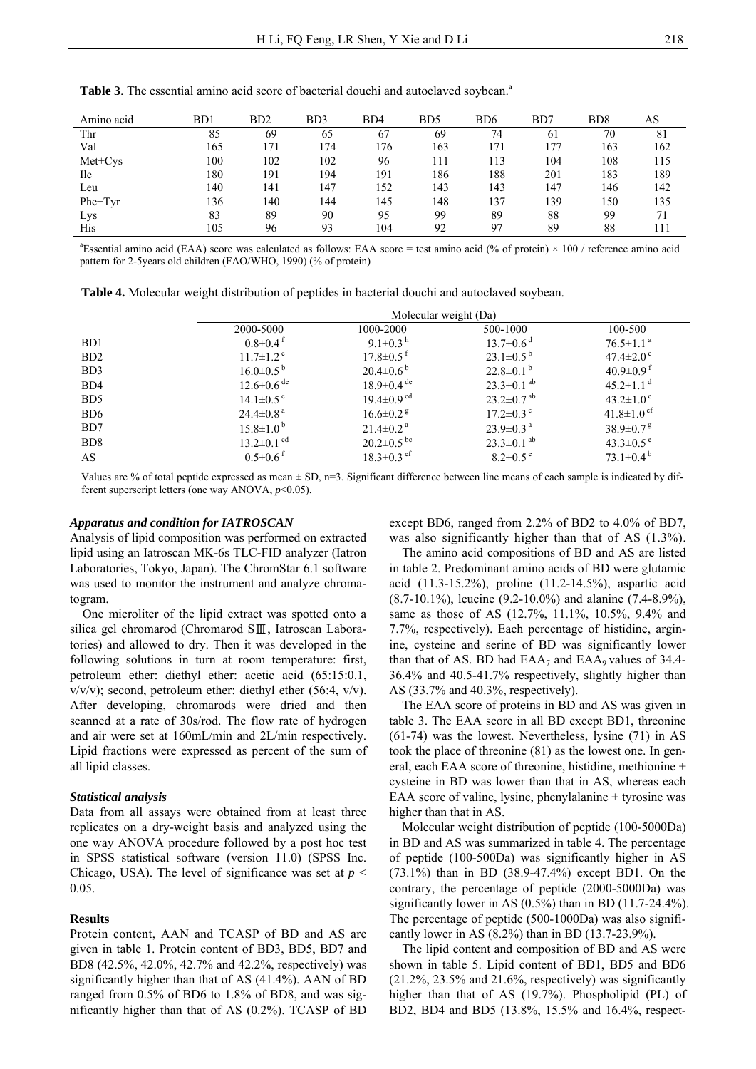| Amino acid | BD1 | BD <sub>2</sub> | B <sub>D</sub> 3 | BD4 | B <sub>D5</sub> | B <sub>D</sub> 6 | BD7 | B <sub>D</sub> <sup>8</sup> | АS  |
|------------|-----|-----------------|------------------|-----|-----------------|------------------|-----|-----------------------------|-----|
| Thr        | 85  | 69              | 65               | 67  | 69              | 74               | 61  | 70                          | 81  |
| Val        | 165 | 171             | 174              | 176 | 163             | 171              | 177 | 163                         | 162 |
| Met+Cys    | 100 | 102             | 102              | 96  | 111             | 113              | 104 | 108                         | 115 |
| <b>Ile</b> | 180 | 191             | 194              | 191 | 186             | 188              | 201 | 183                         | 189 |
| Leu        | 140 | 141             | 147              | 152 | 143             | 143              | 147 | 146                         | 142 |
| Phe+Tyr    | 136 | 140             | 144              | 145 | 148             | 137              | 139 | 150                         | 135 |
| Lys        | 83  | 89              | 90               | 95  | 99              | 89               | 88  | 99                          | 71  |
| His        | 105 | 96              | 93               | 104 | 92              | 97               | 89  | 88                          | 111 |

**Table 3**. The essential amino acid score of bacterial douchi and autoclaved soybean.<sup>a</sup>

<sup>a</sup> Essential amino acid (EAA) score was calculated as follows: EAA score = test amino acid (% of protein)  $\times$  100 / reference amino acid pattern for 2-5years old children (FAO/WHO, 1990) (% of protein)

**Table 4.** Molecular weight distribution of peptides in bacterial douchi and autoclaved soybean.

|                             | Molecular weight (Da)        |                              |                              |                               |  |  |  |  |
|-----------------------------|------------------------------|------------------------------|------------------------------|-------------------------------|--|--|--|--|
|                             | 2000-5000                    | 1000-2000                    | 500-1000                     | 100-500                       |  |  |  |  |
| B <sub>D</sub> 1            | $0.8 \pm 0.4$ <sup>t</sup>   | 9.1 $\pm$ 0.3 <sup>h</sup>   | $13.7 \pm 0.6$ <sup>d</sup>  | $76.5 \pm 1.1$ <sup>a</sup>   |  |  |  |  |
| B <sub>D</sub> 2            | $11.7 \pm 1.2$ <sup>e</sup>  | $17.8 \pm 0.5^{\text{t}}$    | $23.1 \pm 0.5^{b}$           | $47.4 \pm 2.0$ °              |  |  |  |  |
| B <sub>D</sub> 3            | $16.0\pm0.5^{b}$             | $20.4\pm0.6^{b}$             | $22.8\pm0.1^{b}$             | $40.9 \pm 0.9$ <sup>f</sup>   |  |  |  |  |
| B <sub>D</sub> 4            | $12.6 \pm 0.6$ <sup>de</sup> | $18.9 \pm 0.4$ <sup>de</sup> | $23.3 \pm 0.1$ <sup>ab</sup> | $45.2 \pm 1.1$ <sup>d</sup>   |  |  |  |  |
| B <sub>D5</sub>             | $14.1 \pm 0.5$ <sup>c</sup>  | $19.4 \pm 0.9$ <sup>cd</sup> | $23.2 \pm 0.7$ <sup>ab</sup> | $43.2 \pm 1.0^{\circ}$        |  |  |  |  |
| B <sub>D6</sub>             | $24.4 \pm 0.8$ <sup>a</sup>  | $16.6 \pm 0.2$ <sup>g</sup>  | $17.2 \pm 0.3$ °             | $41.8 \pm 1.0$ e <sup>f</sup> |  |  |  |  |
| B <sub>D</sub> 7            | $15.8 \pm 1.0^{\mathrm{b}}$  | $21.4\pm 0.2^{\text{a}}$     | $23.9 \pm 0.3$ <sup>a</sup>  | $38.9 \pm 0.7$ <sup>g</sup>   |  |  |  |  |
| B <sub>D</sub> <sup>8</sup> | $13.2 \pm 0.1$ <sup>cd</sup> | $20.2 \pm 0.5$ <sup>bc</sup> | $23.3 \pm 0.1$ <sup>ab</sup> | $43.3 \pm 0.5$ <sup>e</sup>   |  |  |  |  |
| AS                          | $0.5 \pm 0.6$ <sup>f</sup>   | $18.3 \pm 0.3$ ef            | $8.2 \pm 0.5$ <sup>e</sup>   | $73.1 \pm 0.4^{\mathrm{b}}$   |  |  |  |  |

Values are % of total peptide expressed as mean  $\pm$  SD, n=3. Significant difference between line means of each sample is indicated by different superscript letters (one way ANOVA,  $p$ <0.05).

#### *Apparatus and condition for IATROSCAN*

Analysis of lipid composition was performed on extracted lipid using an Iatroscan MK-6s TLC-FID analyzer (Iatron Laboratories, Tokyo, Japan). The ChromStar 6.1 software was used to monitor the instrument and analyze chromatogram.

One microliter of the lipid extract was spotted onto a silica gel chromarod (Chromarod SⅢ, Iatroscan Laboratories) and allowed to dry. Then it was developed in the following solutions in turn at room temperature: first, petroleum ether: diethyl ether: acetic acid (65:15:0.1,  $v/v/v$ ; second, petroleum ether: diethyl ether (56:4,  $v/v$ ). After developing, chromarods were dried and then scanned at a rate of 30s/rod. The flow rate of hydrogen and air were set at 160mL/min and 2L/min respectively. Lipid fractions were expressed as percent of the sum of all lipid classes.

#### *Statistical analysis*

Data from all assays were obtained from at least three replicates on a dry-weight basis and analyzed using the one way ANOVA procedure followed by a post hoc test in SPSS statistical software (version 11.0) (SPSS Inc. Chicago, USA). The level of significance was set at  $p <$ 0.05.

#### **Results**

Protein content, AAN and TCASP of BD and AS are given in table 1. Protein content of BD3, BD5, BD7 and BD8 (42.5%, 42.0%, 42.7% and 42.2%, respectively) was significantly higher than that of AS (41.4%). AAN of BD ranged from 0.5% of BD6 to 1.8% of BD8, and was significantly higher than that of AS (0.2%). TCASP of BD

except BD6, ranged from 2.2% of BD2 to 4.0% of BD7, was also significantly higher than that of AS (1.3%).

The amino acid compositions of BD and AS are listed in table 2. Predominant amino acids of BD were glutamic acid (11.3-15.2%), proline (11.2-14.5%), aspartic acid (8.7-10.1%), leucine (9.2-10.0%) and alanine (7.4-8.9%), same as those of AS (12.7%, 11.1%, 10.5%, 9.4% and 7.7%, respectively). Each percentage of histidine, arginine, cysteine and serine of BD was significantly lower than that of AS. BD had  $EAA_7$  and  $EAA_9$  values of 34.4-36.4% and 40.5-41.7% respectively, slightly higher than AS (33.7% and 40.3%, respectively).

The EAA score of proteins in BD and AS was given in table 3. The EAA score in all BD except BD1, threonine (61-74) was the lowest. Nevertheless, lysine (71) in AS took the place of threonine (81) as the lowest one. In general, each EAA score of threonine, histidine, methionine + cysteine in BD was lower than that in AS, whereas each EAA score of valine, lysine, phenylalanine + tyrosine was higher than that in AS.

Molecular weight distribution of peptide (100-5000Da) in BD and AS was summarized in table 4. The percentage of peptide (100-500Da) was significantly higher in AS (73.1%) than in BD (38.9-47.4%) except BD1. On the contrary, the percentage of peptide (2000-5000Da) was significantly lower in AS  $(0.5\%)$  than in BD  $(11.7-24.4\%)$ . The percentage of peptide (500-1000Da) was also significantly lower in AS (8.2%) than in BD (13.7-23.9%).

The lipid content and composition of BD and AS were shown in table 5. Lipid content of BD1, BD5 and BD6  $(21.2\%, 23.5\%$  and  $21.6\%,$  respectively) was significantly higher than that of AS (19.7%). Phospholipid (PL) of BD2, BD4 and BD5 (13.8%, 15.5% and 16.4%, respect-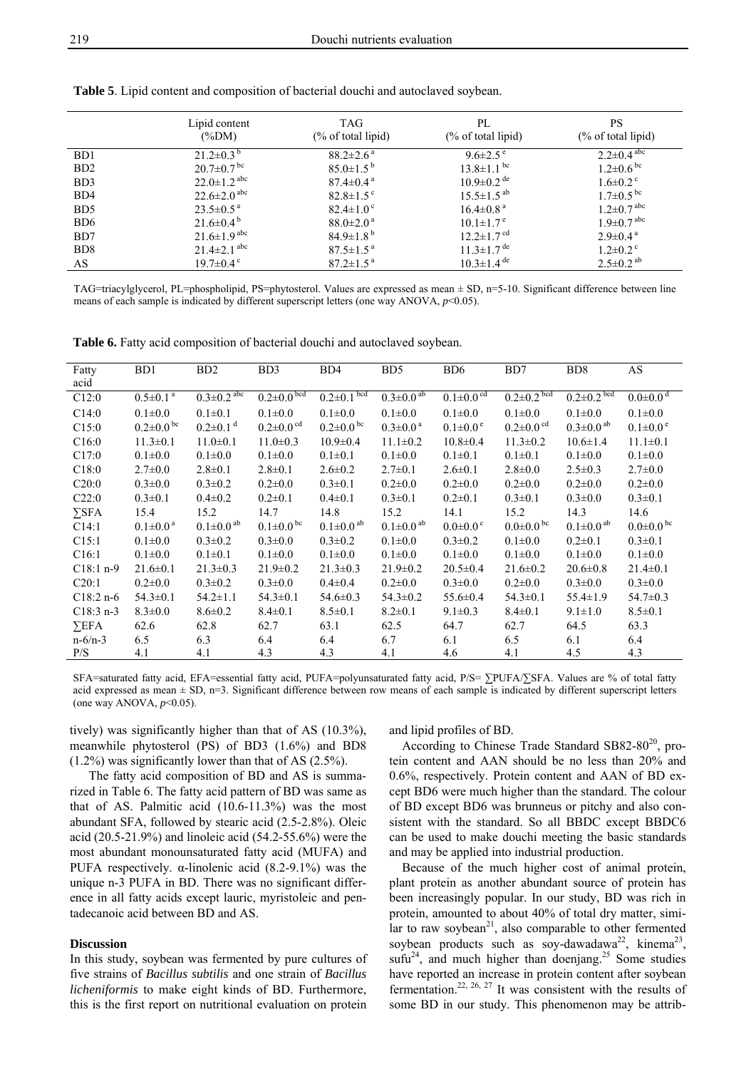|                  | Lipid content<br>$(\%DM)$     | TAG<br>$(\%$ of total lipid) | PL<br>$(\%$ of total lipid)  | <b>PS</b><br>$(\%$ of total lipid) |
|------------------|-------------------------------|------------------------------|------------------------------|------------------------------------|
| B <sub>D</sub> 1 | $21.2\pm0.3^{b}$              | $88.2 \pm 2.6^{\text{a}}$    | $9.6 \pm 2.5$ <sup>e</sup>   | $2.2 \pm 0.4$ abc                  |
| B <sub>D</sub> 2 | $20.7 \pm 0.7$ bc             | $85.0 \pm 1.5^{b}$           | $13.8 \pm 1.1$ bc            | $1.2 \pm 0.6$ bc                   |
| B <sub>D</sub> 3 | $22.0 \pm 1.2$ <sup>abc</sup> | $87.4 \pm 0.4^{\text{a}}$    | $10.9 \pm 0.2$ <sup>de</sup> | $1.6 \pm 0.2$ °                    |
| BD4              | $22.6 \pm 2.0$ <sup>abc</sup> | $82.8 \pm 1.5$ °             | $15.5 \pm 1.5^{ab}$          | $1.7 \pm 0.5$ <sup>bc</sup>        |
| B <sub>D5</sub>  | $23.5 \pm 0.5^{\text{a}}$     | $82.4 \pm 1.0$ °             | $16.4 \pm 0.8$ <sup>a</sup>  | $1.2 \pm 0.7$ abc                  |
| BD <sub>6</sub>  | $21.6\pm0.4^{b}$              | $88.0 \pm 2.0^{\circ}$       | $10.1 \pm 1.7$ <sup>e</sup>  | $1.9 \pm 0.7$ abc                  |
| B <sub>D</sub> 7 | $21.6 \pm 1.9$ abc            | $84.9 \pm 1.8^{b}$           | $12.2 \pm 1.7$ <sup>cd</sup> | $2.9 \pm 0.4^{\text{a}}$           |
| BD <sub>8</sub>  | $21.4 \pm 2.1$ <sup>abc</sup> | $87.5 \pm 1.5^{\text{a}}$    | $11.3 \pm 1.7$ <sup>de</sup> | $1.2 \pm 0.2$ <sup>c</sup>         |
| AS               | $19.7 \pm 0.4$ <sup>c</sup>   | $87.2 \pm 1.5^{\text{a}}$    | $10.3 \pm 1.4$ <sup>de</sup> | $2.5 \pm 0.2$ <sup>ab</sup>        |

**Table 5**. Lipid content and composition of bacterial douchi and autoclaved soybean.

TAG=triacylglycerol, PL=phospholipid, PS=phytosterol. Values are expressed as mean ± SD, n=5-10. Significant difference between line means of each sample is indicated by different superscript letters (one way ANOVA, *p*<0.05).

**Table 6.** Fatty acid composition of bacterial douchi and autoclaved soybean.

| Fatty<br>acid | B <sub>D</sub> 1            | B <sub>D</sub> 2             | B <sub>D</sub> 3            | BD4                         | B <sub>D5</sub>             | B <sub>D6</sub>             | BD7                         | BD <sub>8</sub>             | AS                         |
|---------------|-----------------------------|------------------------------|-----------------------------|-----------------------------|-----------------------------|-----------------------------|-----------------------------|-----------------------------|----------------------------|
| C12:0         | $0.5 \pm 0.1$ <sup>a</sup>  | $0.3 \pm 0.2$ <sup>abc</sup> | $0.2 \pm 0.0$ bcd           | $0.2 \pm 0.1$ bcd           | $0.3 \pm 0.0$ <sup>ab</sup> | $0.1 \pm 0.0$ <sup>cd</sup> | $0.2 \pm 0.2$ bcd           | $0.2 \pm 0.2$ bcd           | $0.0 \pm 0.0$ <sup>d</sup> |
| C14:0         | $0.1 \pm 0.0$               | $0.1 \pm 0.1$                | $0.1 \pm 0.0$               | $0.1 + 0.0$                 | $0.1 + 0.0$                 | $0.1 + 0.0$                 | $0.1 + 0.0$                 | $0.1 \pm 0.0$               | $0.1 \pm 0.0$              |
| C15:0         | $0.2 \pm 0.0$ <sup>bc</sup> | $0.2 \pm 0.1$ <sup>d</sup>   | $0.2 \pm 0.0$ <sup>cd</sup> | $0.2 \pm 0.0^{\text{bc}}$   | $0.3 \pm 0.0^{\text{a}}$    | $0.1 \pm 0.0^{\circ}$       | $0.2 \pm 0.0$ <sup>cd</sup> | $0.3 \pm 0.0$ <sup>ab</sup> | $0.1 \pm 0.0^{\circ}$      |
| C16:0         | $11.3 \pm 0.1$              | $11.0 \pm 0.1$               | $11.0 \pm 0.3$              | $10.9 \pm 0.4$              | $11.1 \pm 0.2$              | $10.8 \pm 0.4$              | $11.3 \pm 0.2$              | $10.6 \pm 1.4$              | $11.1\pm0.1$               |
| C17:0         | $0.1 \pm 0.0$               | $0.1 \pm 0.0$                | $0.1 \pm 0.0$               | $0.1 \pm 0.1$               | $0.1 + 0.0$                 | $0.1 \pm 0.1$               | $0.1 \pm 0.1$               | $0.1 + 0.0$                 | $0.1 \pm 0.0$              |
| C18:0         | $2.7 \pm 0.0$               | $2.8 \pm 0.1$                | $2.8 \pm 0.1$               | $2.6 \pm 0.2$               | $2.7 \pm 0.1$               | $2.6 \pm 0.1$               | $2.8 \pm 0.0$               | $2.5 \pm 0.3$               | $2.7 \pm 0.0$              |
| C20:0         | $0.3 \pm 0.0$               | $0.3 \pm 0.2$                | $0.2 \pm 0.0$               | $0.3 \pm 0.1$               | $0.2 \pm 0.0$               | $0.2 \pm 0.0$               | $0.2 \pm 0.0$               | $0.2 \pm 0.0$               | $0.2 \pm 0.0$              |
| C22:0         | $0.3 \pm 0.1$               | $0.4 \pm 0.2$                | $0.2 \pm 0.1$               | $0.4 \pm 0.1$               | $0.3 \pm 0.1$               | $0.2 \pm 0.1$               | $0.3 \pm 0.1$               | $0.3 \pm 0.0$               | $0.3 \pm 0.1$              |
| $\Sigma$ SFA  | 15.4                        | 15.2                         | 14.7                        | 14.8                        | 15.2                        | 14.1                        | 15.2                        | 14.3                        | 14.6                       |
| C14:1         | $0.1 \pm 0.0^{\text{a}}$    | $0.1 \pm 0.0$ <sup>ab</sup>  | $0.1 \pm 0.0$ bc            | $0.1 \pm 0.0$ <sup>ab</sup> | $0.1 \pm 0.0$ <sup>ab</sup> | $0.0 \pm 0.0$ °             | $0.0 \pm 0.0$ bc            | $0.1 \pm 0.0$ <sup>ab</sup> | $0.0 \pm 0.0$ bc           |
| C15:1         | $0.1 \pm 0.0$               | $0.3 \pm 0.2$                | $0.3 \pm 0.0$               | $0.3 \pm 0.2$               | $0.1 + 0.0$                 | $0.3 \pm 0.2$               | $0.1 \pm 0.0$               | $0.2 \pm 0.1$               | $0.3 \pm 0.1$              |
| C16:1         | $0.1 \pm 0.0$               | $0.1 \pm 0.1$                | $0.1 \pm 0.0$               | $0.1 \pm 0.0$               | $0.1 + 0.0$                 | $0.1 \pm 0.0$               | $0.1 \pm 0.0$               | $0.1 + 0.0$                 | $0.1 \pm 0.0$              |
| $C18:1 n-9$   | $21.6 \pm 0.1$              | $21.3 \pm 0.3$               | $21.9 \pm 0.2$              | $21.3 \pm 0.3$              | $21.9 \pm 0.2$              | $20.5 \pm 0.4$              | $21.6 \pm 0.2$              | $20.6 \pm 0.8$              | $21.4 \pm 0.1$             |
| C20:1         | $0.2 \pm 0.0$               | $0.3 \pm 0.2$                | $0.3 \pm 0.0$               | $0.4 \pm 0.4$               | $0.2 \pm 0.0$               | $0.3 \pm 0.0$               | $0.2 \pm 0.0$               | $0.3 \pm 0.0$               | $0.3 \pm 0.0$              |
| $C18:2 n-6$   | $54.3 \pm 0.1$              | $54.2 \pm 1.1$               | $54.3 \pm 0.1$              | $54.6 \pm 0.3$              | $54.3 \pm 0.2$              | $55.6 \pm 0.4$              | $54.3 \pm 0.1$              | $55.4 \pm 1.9$              | $54.7 \pm 0.3$             |
| $C18:3 n-3$   | $8.3 \pm 0.0$               | $8.6 \pm 0.2$                | $8.4 \pm 0.1$               | $8.5 \pm 0.1$               | $8.2 \pm 0.1$               | $9.1 \pm 0.3$               | $8.4 \pm 0.1$               | $9.1 \pm 1.0$               | $8.5 \pm 0.1$              |
| $\Sigma$ EFA  | 62.6                        | 62.8                         | 62.7                        | 63.1                        | 62.5                        | 64.7                        | 62.7                        | 64.5                        | 63.3                       |
| $n - 6/n - 3$ | 6.5                         | 6.3                          | 6.4                         | 6.4                         | 6.7                         | 6.1                         | 6.5                         | 6.1                         | 6.4                        |
| P/S           | 4.1                         | 4.1                          | 4.3                         | 4.3                         | 4.1                         | 4.6                         | 4.1                         | 4.5                         | 4.3                        |

SFA=saturated fatty acid, EFA=essential fatty acid, PUFA=polyunsaturated fatty acid, P/S= ∑PUFA/∑SFA. Values are % of total fatty acid expressed as mean  $\pm$  SD, n=3. Significant difference between row means of each sample is indicated by different superscript letters (one way ANOVA, *p*<0.05).

tively) was significantly higher than that of AS (10.3%), meanwhile phytosterol (PS) of BD3 (1.6%) and BD8 (1.2%) was significantly lower than that of AS (2.5%).

and lipid profiles of BD.

The fatty acid composition of BD and AS is summarized in Table 6. The fatty acid pattern of BD was same as that of AS. Palmitic acid (10.6-11.3%) was the most abundant SFA, followed by stearic acid (2.5-2.8%). Oleic acid (20.5-21.9%) and linoleic acid (54.2-55.6%) were the most abundant monounsaturated fatty acid (MUFA) and PUFA respectively.  $\alpha$ -linolenic acid (8.2-9.1%) was the unique n-3 PUFA in BD. There was no significant difference in all fatty acids except lauric, myristoleic and pentadecanoic acid between BD and AS.

## **Discussion**

In this study, soybean was fermented by pure cultures of five strains of *Bacillus subtilis* and one strain of *Bacillus licheniformis* to make eight kinds of BD. Furthermore, this is the first report on nutritional evaluation on protein

According to Chinese Trade Standard  $SB82-80^{20}$ , protein content and AAN should be no less than 20% and 0.6%, respectively. Protein content and AAN of BD except BD6 were much higher than the standard. The colour of BD except BD6 was brunneus or pitchy and also consistent with the standard. So all BBDC except BBDC6 can be used to make douchi meeting the basic standards and may be applied into industrial production.

Because of the much higher cost of animal protein, plant protein as another abundant source of protein has been increasingly popular. In our study, BD was rich in protein, amounted to about 40% of total dry matter, similar to raw soybean $^{21}$ , also comparable to other fermented soybean products such as soy-dawadawa<sup>22</sup>, kinema<sup>23</sup>,  $\text{snfu}^{24}$ , and much higher than doenjang.<sup>25</sup> Some studies have reported an increase in protein content after soybean fermentation.<sup>22, 26, 27</sup> It was consistent with the results of some BD in our study. This phenomenon may be attrib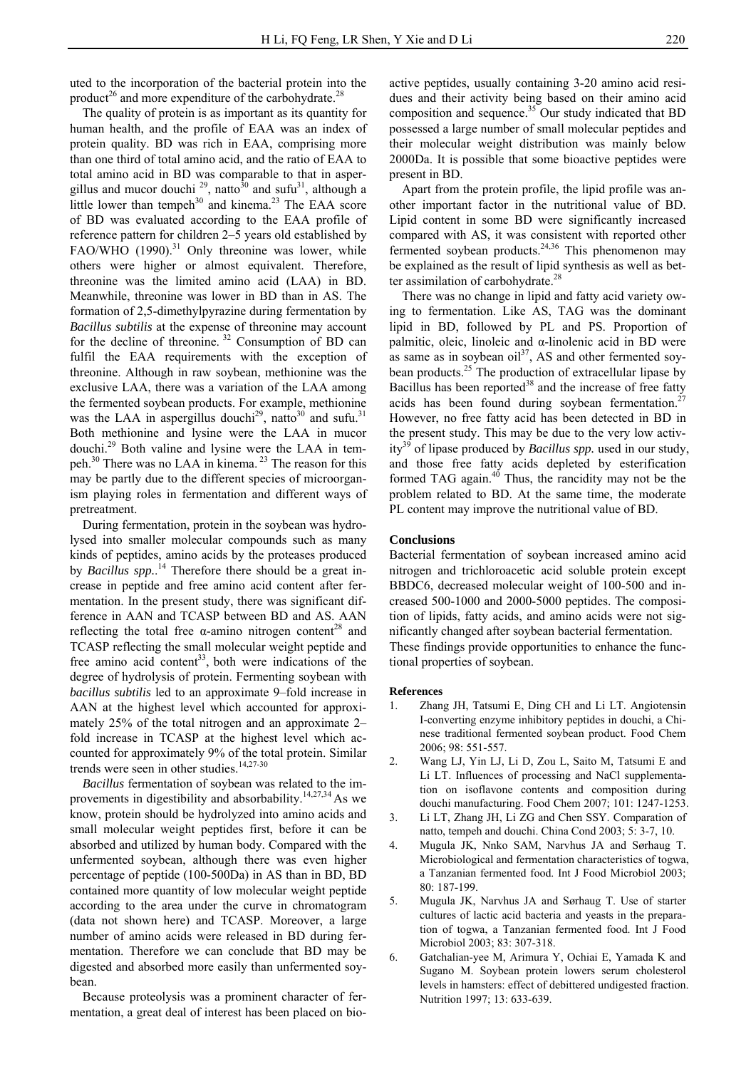uted to the incorporation of the bacterial protein into the product<sup>26</sup> and more expenditure of the carbohydrate.<sup>28</sup>

The quality of protein is as important as its quantity for human health, and the profile of EAA was an index of protein quality. BD was rich in EAA, comprising more than one third of total amino acid, and the ratio of EAA to total amino acid in BD was comparable to that in aspergillus and mucor douchi  $^{29}$ , natto<sup>30</sup> and sufu<sup>31</sup>, although a little lower than tempeh $30$  and kinema.<sup>23</sup> The EAA score of BD was evaluated according to the EAA profile of reference pattern for children 2–5 years old established by FAO/WHO  $(1990)^{31}$  Only threonine was lower, while others were higher or almost equivalent. Therefore, threonine was the limited amino acid (LAA) in BD. Meanwhile, threonine was lower in BD than in AS. The formation of 2,5-dimethylpyrazine during fermentation by *Bacillus subtilis* at the expense of threonine may account for the decline of threonine.<sup>32</sup> Consumption of BD can fulfil the EAA requirements with the exception of threonine. Although in raw soybean, methionine was the exclusive LAA, there was a variation of the LAA among the fermented soybean products. For example, methionine was the LAA in aspergillus douchi<sup>29</sup>, natto<sup>30</sup> and sufu.<sup>31</sup> Both methionine and lysine were the LAA in mucor douchi.29 Both valine and lysine were the LAA in tempeh.<sup>30</sup> There was no LAA in kinema.<sup>23</sup> The reason for this may be partly due to the different species of microorganism playing roles in fermentation and different ways of pretreatment.

During fermentation, protein in the soybean was hydrolysed into smaller molecular compounds such as many kinds of peptides, amino acids by the proteases produced by *Bacillus spp.*. 14 Therefore there should be a great increase in peptide and free amino acid content after fermentation. In the present study, there was significant difference in AAN and TCASP between BD and AS. AAN reflecting the total free  $\alpha$ -amino nitrogen content<sup>28</sup> and TCASP reflecting the small molecular weight peptide and free amino acid content<sup>33</sup>, both were indications of the degree of hydrolysis of protein. Fermenting soybean with *bacillus subtilis* led to an approximate 9–fold increase in AAN at the highest level which accounted for approximately 25% of the total nitrogen and an approximate 2– fold increase in TCASP at the highest level which accounted for approximately 9% of the total protein. Similar trends were seen in other studies.<sup>14,27-30</sup>

*Bacillus* fermentation of soybean was related to the improvements in digestibility and absorbability.<sup>14,27,34</sup> As we know, protein should be hydrolyzed into amino acids and small molecular weight peptides first, before it can be absorbed and utilized by human body. Compared with the unfermented soybean, although there was even higher percentage of peptide (100-500Da) in AS than in BD, BD contained more quantity of low molecular weight peptide according to the area under the curve in chromatogram (data not shown here) and TCASP. Moreover, a large number of amino acids were released in BD during fermentation. Therefore we can conclude that BD may be digested and absorbed more easily than unfermented soybean.

Because proteolysis was a prominent character of fermentation, a great deal of interest has been placed on bioactive peptides, usually containing 3-20 amino acid residues and their activity being based on their amino acid composition and sequence. $35$  Our study indicated that BD possessed a large number of small molecular peptides and their molecular weight distribution was mainly below 2000Da. It is possible that some bioactive peptides were present in BD.

Apart from the protein profile, the lipid profile was another important factor in the nutritional value of BD. Lipid content in some BD were significantly increased compared with AS, it was consistent with reported other fermented soybean products. $24,36$  This phenomenon may be explained as the result of lipid synthesis as well as better assimilation of carbohydrate.<sup>28</sup>

There was no change in lipid and fatty acid variety owing to fermentation. Like AS, TAG was the dominant lipid in BD, followed by PL and PS. Proportion of palmitic, oleic, linoleic and α-linolenic acid in BD were as same as in soybean  $\text{oil}^{37}$ , AS and other fermented soybean products.<sup>25</sup> The production of extracellular lipase by Bacillus has been reported $38$  and the increase of free fatty acids has been found during soybean fermentation.<sup>27</sup> However, no free fatty acid has been detected in BD in the present study. This may be due to the very low activity<sup>39</sup> of lipase produced by *Bacillus spp*. used in our study, and those free fatty acids depleted by esterification formed TAG again. $40$  Thus, the rancidity may not be the problem related to BD. At the same time, the moderate PL content may improve the nutritional value of BD.

#### **Conclusions**

Bacterial fermentation of soybean increased amino acid nitrogen and trichloroacetic acid soluble protein except BBDC6, decreased molecular weight of 100-500 and increased 500-1000 and 2000-5000 peptides. The composition of lipids, fatty acids, and amino acids were not significantly changed after soybean bacterial fermentation. These findings provide opportunities to enhance the functional properties of soybean.

#### **References**

- 1. Zhang JH, Tatsumi E, Ding CH and Li LT. Angiotensin I-converting enzyme inhibitory peptides in douchi, a Chinese traditional fermented soybean product. Food Chem 2006; 98: 551-557.
- 2. Wang LJ, Yin LJ, Li D, Zou L, Saito M, Tatsumi E and Li LT. Influences of processing and NaCl supplementation on isoflavone contents and composition during douchi manufacturing. Food Chem 2007; 101: 1247-1253.
- 3. Li LT, Zhang JH, Li ZG and Chen SSY. Comparation of natto, tempeh and douchi. China Cond 2003; 5: 3-7, 10.
- 4. Mugula JK, Nnko SAM, Narvhus JA and Sørhaug T. Microbiological and fermentation characteristics of togwa, a Tanzanian fermented food. Int J Food Microbiol 2003; 80: 187-199.
- 5. Mugula JK, Narvhus JA and Sørhaug T. Use of starter cultures of lactic acid bacteria and yeasts in the preparation of togwa, a Tanzanian fermented food. Int J Food Microbiol 2003; 83: 307-318.
- 6. Gatchalian-yee M, Arimura Y, Ochiai E, Yamada K and Sugano M. Soybean protein lowers serum cholesterol levels in hamsters: effect of debittered undigested fraction. Nutrition 1997; 13: 633-639.